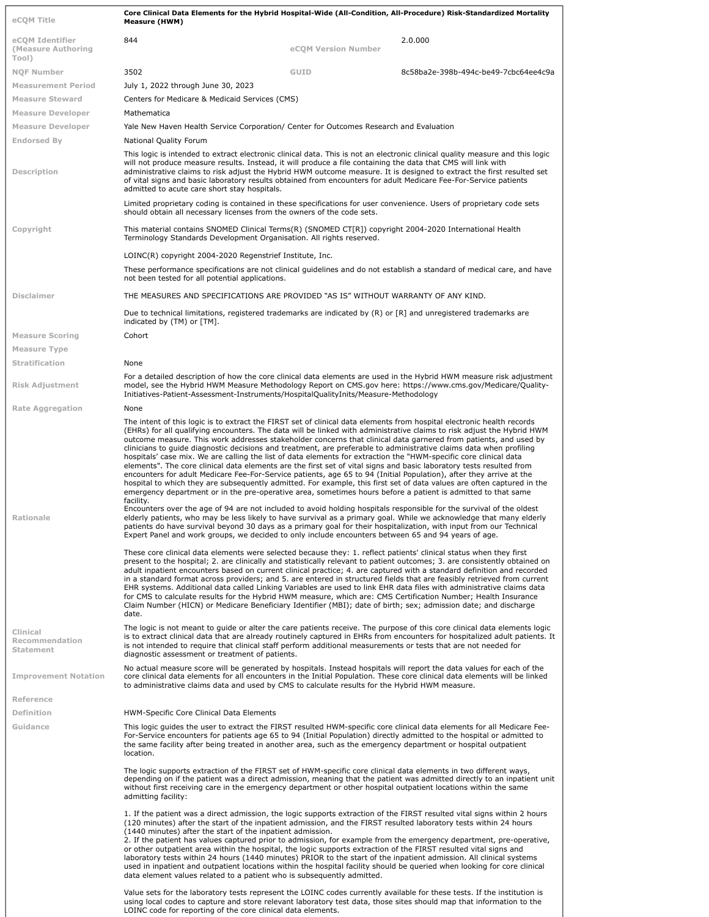| eCOM Title                                     | Core Clinical Data Elements for the Hybrid Hospital-Wide (All-Condition, All-Procedure) Risk-Standardized Mortality<br>Measure (HWM)                                                                                                                                                                                                                                                                                                                                                                                                                                                                                                                                                                                                                                                                                                                                                                                                                                                                                                                                                                                                                                                                                                        |                     |                                                                                                                                                                                                                                                                                                                                                                                 |  |
|------------------------------------------------|---------------------------------------------------------------------------------------------------------------------------------------------------------------------------------------------------------------------------------------------------------------------------------------------------------------------------------------------------------------------------------------------------------------------------------------------------------------------------------------------------------------------------------------------------------------------------------------------------------------------------------------------------------------------------------------------------------------------------------------------------------------------------------------------------------------------------------------------------------------------------------------------------------------------------------------------------------------------------------------------------------------------------------------------------------------------------------------------------------------------------------------------------------------------------------------------------------------------------------------------|---------------------|---------------------------------------------------------------------------------------------------------------------------------------------------------------------------------------------------------------------------------------------------------------------------------------------------------------------------------------------------------------------------------|--|
|                                                |                                                                                                                                                                                                                                                                                                                                                                                                                                                                                                                                                                                                                                                                                                                                                                                                                                                                                                                                                                                                                                                                                                                                                                                                                                             |                     |                                                                                                                                                                                                                                                                                                                                                                                 |  |
| eCOM Identifier<br>(Measure Authoring<br>Tool) | 844                                                                                                                                                                                                                                                                                                                                                                                                                                                                                                                                                                                                                                                                                                                                                                                                                                                                                                                                                                                                                                                                                                                                                                                                                                         | eCOM Version Number | 2.0.000                                                                                                                                                                                                                                                                                                                                                                         |  |
| <b>NOF Number</b>                              | 3502                                                                                                                                                                                                                                                                                                                                                                                                                                                                                                                                                                                                                                                                                                                                                                                                                                                                                                                                                                                                                                                                                                                                                                                                                                        | GUID                | 8c58ba2e-398b-494c-be49-7cbc64ee4c9a                                                                                                                                                                                                                                                                                                                                            |  |
| <b>Measurement Period</b>                      | July 1, 2022 through June 30, 2023                                                                                                                                                                                                                                                                                                                                                                                                                                                                                                                                                                                                                                                                                                                                                                                                                                                                                                                                                                                                                                                                                                                                                                                                          |                     |                                                                                                                                                                                                                                                                                                                                                                                 |  |
| <b>Measure Steward</b>                         | Centers for Medicare & Medicaid Services (CMS)                                                                                                                                                                                                                                                                                                                                                                                                                                                                                                                                                                                                                                                                                                                                                                                                                                                                                                                                                                                                                                                                                                                                                                                              |                     |                                                                                                                                                                                                                                                                                                                                                                                 |  |
| <b>Measure Developer</b>                       | Mathematica                                                                                                                                                                                                                                                                                                                                                                                                                                                                                                                                                                                                                                                                                                                                                                                                                                                                                                                                                                                                                                                                                                                                                                                                                                 |                     |                                                                                                                                                                                                                                                                                                                                                                                 |  |
| <b>Measure Developer</b>                       | Yale New Haven Health Service Corporation/ Center for Outcomes Research and Evaluation                                                                                                                                                                                                                                                                                                                                                                                                                                                                                                                                                                                                                                                                                                                                                                                                                                                                                                                                                                                                                                                                                                                                                      |                     |                                                                                                                                                                                                                                                                                                                                                                                 |  |
| Endorsed By                                    | National Quality Forum                                                                                                                                                                                                                                                                                                                                                                                                                                                                                                                                                                                                                                                                                                                                                                                                                                                                                                                                                                                                                                                                                                                                                                                                                      |                     |                                                                                                                                                                                                                                                                                                                                                                                 |  |
| Description                                    | This logic is intended to extract electronic clinical data. This is not an electronic clinical quality measure and this logic<br>will not produce measure results. Instead, it will produce a file containing the data that CMS will link with<br>administrative claims to risk adjust the Hybrid HWM outcome measure. It is designed to extract the first resulted set<br>of vital signs and basic laboratory results obtained from encounters for adult Medicare Fee-For-Service patients<br>admitted to acute care short stay hospitals.                                                                                                                                                                                                                                                                                                                                                                                                                                                                                                                                                                                                                                                                                                 |                     |                                                                                                                                                                                                                                                                                                                                                                                 |  |
|                                                | Limited proprietary coding is contained in these specifications for user convenience. Users of proprietary code sets<br>should obtain all necessary licenses from the owners of the code sets.                                                                                                                                                                                                                                                                                                                                                                                                                                                                                                                                                                                                                                                                                                                                                                                                                                                                                                                                                                                                                                              |                     |                                                                                                                                                                                                                                                                                                                                                                                 |  |
| Copyright                                      | This material contains SNOMED Clinical Terms(R) (SNOMED CT[R]) copyright 2004-2020 International Health<br>Terminology Standards Development Organisation. All rights reserved.                                                                                                                                                                                                                                                                                                                                                                                                                                                                                                                                                                                                                                                                                                                                                                                                                                                                                                                                                                                                                                                             |                     |                                                                                                                                                                                                                                                                                                                                                                                 |  |
|                                                | LOINC(R) copyright 2004-2020 Regenstrief Institute, Inc.                                                                                                                                                                                                                                                                                                                                                                                                                                                                                                                                                                                                                                                                                                                                                                                                                                                                                                                                                                                                                                                                                                                                                                                    |                     |                                                                                                                                                                                                                                                                                                                                                                                 |  |
|                                                | These performance specifications are not clinical guidelines and do not establish a standard of medical care, and have<br>not been tested for all potential applications.                                                                                                                                                                                                                                                                                                                                                                                                                                                                                                                                                                                                                                                                                                                                                                                                                                                                                                                                                                                                                                                                   |                     |                                                                                                                                                                                                                                                                                                                                                                                 |  |
| <b>Disclaimer</b>                              | THE MEASURES AND SPECIFICATIONS ARE PROVIDED "AS IS" WITHOUT WARRANTY OF ANY KIND.                                                                                                                                                                                                                                                                                                                                                                                                                                                                                                                                                                                                                                                                                                                                                                                                                                                                                                                                                                                                                                                                                                                                                          |                     |                                                                                                                                                                                                                                                                                                                                                                                 |  |
|                                                | Due to technical limitations, registered trademarks are indicated by (R) or [R] and unregistered trademarks are<br>indicated by (TM) or [TM].                                                                                                                                                                                                                                                                                                                                                                                                                                                                                                                                                                                                                                                                                                                                                                                                                                                                                                                                                                                                                                                                                               |                     |                                                                                                                                                                                                                                                                                                                                                                                 |  |
| <b>Measure Scoring</b>                         | Cohort                                                                                                                                                                                                                                                                                                                                                                                                                                                                                                                                                                                                                                                                                                                                                                                                                                                                                                                                                                                                                                                                                                                                                                                                                                      |                     |                                                                                                                                                                                                                                                                                                                                                                                 |  |
| <b>Measure Type</b>                            |                                                                                                                                                                                                                                                                                                                                                                                                                                                                                                                                                                                                                                                                                                                                                                                                                                                                                                                                                                                                                                                                                                                                                                                                                                             |                     |                                                                                                                                                                                                                                                                                                                                                                                 |  |
| Stratification                                 | None                                                                                                                                                                                                                                                                                                                                                                                                                                                                                                                                                                                                                                                                                                                                                                                                                                                                                                                                                                                                                                                                                                                                                                                                                                        |                     |                                                                                                                                                                                                                                                                                                                                                                                 |  |
| Risk Adjustment                                | Initiatives-Patient-Assessment-Instruments/HospitalQualityInits/Measure-Methodology                                                                                                                                                                                                                                                                                                                                                                                                                                                                                                                                                                                                                                                                                                                                                                                                                                                                                                                                                                                                                                                                                                                                                         |                     | For a detailed description of how the core clinical data elements are used in the Hybrid HWM measure risk adjustment<br>model, see the Hybrid HWM Measure Methodology Report on CMS.gov here: https://www.cms.gov/Medicare/Quality-                                                                                                                                             |  |
| <b>Rate Aggregation</b>                        | None                                                                                                                                                                                                                                                                                                                                                                                                                                                                                                                                                                                                                                                                                                                                                                                                                                                                                                                                                                                                                                                                                                                                                                                                                                        |                     |                                                                                                                                                                                                                                                                                                                                                                                 |  |
| Rationale                                      | The intent of this logic is to extract the FIRST set of clinical data elements from hospital electronic health records<br>outcome measure. This work addresses stakeholder concerns that clinical data garnered from patients, and used by<br>clinicians to guide diagnostic decisions and treatment, are preferable to administrative claims data when profiling<br>hospitals' case mix. We are calling the list of data elements for extraction the "HWM-specific core clinical data<br>elements". The core clinical data elements are the first set of vital signs and basic laboratory tests resulted from<br>encounters for adult Medicare Fee-For-Service patients, age 65 to 94 (Initial Population), after they arrive at the<br>hospital to which they are subsequently admitted. For example, this first set of data values are often captured in the<br>emergency department or in the pre-operative area, sometimes hours before a patient is admitted to that same<br>facility.<br>Encounters over the age of 94 are not included to avoid holding hospitals responsible for the survival of the oldest<br>elderly patients, who may be less likely to have survival as a primary goal. While we acknowledge that many elderly |                     | (EHRs) for all qualifying encounters. The data will be linked with administrative claims to risk adjust the Hybrid HWM                                                                                                                                                                                                                                                          |  |
|                                                | patients do have survival beyond 30 days as a primary goal for their hospitalization, with input from our Technical<br>Expert Panel and work groups, we decided to only include encounters between 65 and 94 years of age.<br>These core clinical data elements were selected because they: 1. reflect patients' clinical status when they first                                                                                                                                                                                                                                                                                                                                                                                                                                                                                                                                                                                                                                                                                                                                                                                                                                                                                            |                     |                                                                                                                                                                                                                                                                                                                                                                                 |  |
|                                                | EHR systems. Additional data called Linking Variables are used to link EHR data files with administrative claims data<br>for CMS to calculate results for the Hybrid HWM measure, which are: CMS Certification Number; Health Insurance<br>Claim Number (HICN) or Medicare Beneficiary Identifier (MBI); date of birth; sex; admission date; and discharge<br>date.                                                                                                                                                                                                                                                                                                                                                                                                                                                                                                                                                                                                                                                                                                                                                                                                                                                                         |                     | present to the hospital; 2. are clinically and statistically relevant to patient outcomes; 3. are consistently obtained on<br>adult inpatient encounters based on current clinical practice; 4, are captured with a standard definition and recorded<br>in a standard format across providers; and 5. are entered in structured fields that are feasibly retrieved from current |  |
| Clinical<br>Recommendation<br>Statement        | is not intended to require that clinical staff perform additional measurements or tests that are not needed for<br>diagnostic assessment or treatment of patients.                                                                                                                                                                                                                                                                                                                                                                                                                                                                                                                                                                                                                                                                                                                                                                                                                                                                                                                                                                                                                                                                          |                     | The logic is not meant to quide or alter the care patients receive. The purpose of this core clinical data elements logic<br>is to extract clinical data that are already routinely captured in EHRs from encounters for hospitalized adult patients. It                                                                                                                        |  |
| <b>Improvement Notation</b>                    | No actual measure score will be generated by hospitals. Instead hospitals will report the data values for each of the<br>core clinical data elements for all encounters in the Initial Population. These core clinical data elements will be linked<br>to administrative claims data and used by CMS to calculate results for the Hybrid HWM measure.                                                                                                                                                                                                                                                                                                                                                                                                                                                                                                                                                                                                                                                                                                                                                                                                                                                                                       |                     |                                                                                                                                                                                                                                                                                                                                                                                 |  |
| Reference                                      |                                                                                                                                                                                                                                                                                                                                                                                                                                                                                                                                                                                                                                                                                                                                                                                                                                                                                                                                                                                                                                                                                                                                                                                                                                             |                     |                                                                                                                                                                                                                                                                                                                                                                                 |  |
| Definition                                     | HWM-Specific Core Clinical Data Elements                                                                                                                                                                                                                                                                                                                                                                                                                                                                                                                                                                                                                                                                                                                                                                                                                                                                                                                                                                                                                                                                                                                                                                                                    |                     |                                                                                                                                                                                                                                                                                                                                                                                 |  |
| Guidance                                       | For-Service encounters for patients age 65 to 94 (Initial Population) directly admitted to the hospital or admitted to<br>the same facility after being treated in another area, such as the emergency department or hospital outpatient<br>location.                                                                                                                                                                                                                                                                                                                                                                                                                                                                                                                                                                                                                                                                                                                                                                                                                                                                                                                                                                                       |                     | This logic guides the user to extract the FIRST resulted HWM-specific core clinical data elements for all Medicare Fee-                                                                                                                                                                                                                                                         |  |
|                                                | The logic supports extraction of the FIRST set of HWM-specific core clinical data elements in two different ways,<br>without first receiving care in the emergency department or other hospital outpatient locations within the same<br>admitting facility:                                                                                                                                                                                                                                                                                                                                                                                                                                                                                                                                                                                                                                                                                                                                                                                                                                                                                                                                                                                 |                     | depending on if the patient was a direct admission, meaning that the patient was admitted directly to an inpatient unit                                                                                                                                                                                                                                                         |  |
|                                                | 1. If the patient was a direct admission, the logic supports extraction of the FIRST resulted vital signs within 2 hours<br>(120 minutes) after the start of the inpatient admission, and the FIRST resulted laboratory tests within 24 hours<br>(1440 minutes) after the start of the inpatient admission.<br>2. If the patient has values captured prior to admission, for example from the emergency department, pre-operative,<br>or other outpatient area within the hospital, the logic supports extraction of the FIRST resulted vital signs and<br>laboratory tests within 24 hours (1440 minutes) PRIOR to the start of the inpatient admission. All clinical systems<br>used in inpatient and outpatient locations within the hospital facility should be queried when looking for core clinical<br>data element values related to a patient who is subsequently admitted.                                                                                                                                                                                                                                                                                                                                                        |                     |                                                                                                                                                                                                                                                                                                                                                                                 |  |
|                                                | Value sets for the laboratory tests represent the LOINC codes currently available for these tests. If the institution is<br>using local codes to capture and store relevant laboratory test data, those sites should map that information to the<br>LOINC code for reporting of the core clinical data elements.                                                                                                                                                                                                                                                                                                                                                                                                                                                                                                                                                                                                                                                                                                                                                                                                                                                                                                                            |                     |                                                                                                                                                                                                                                                                                                                                                                                 |  |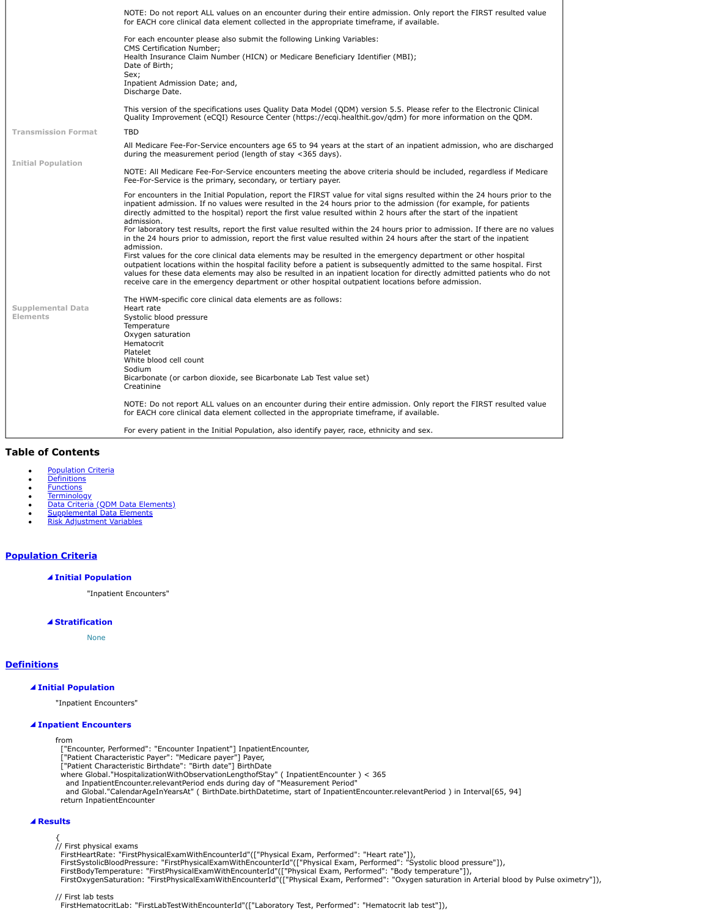|                            | NOTE: Do not report ALL values on an encounter during their entire admission. Only report the FIRST resulted value<br>for EACH core clinical data element collected in the appropriate timeframe, if available.                                                                                                                                                                                                                                                          |
|----------------------------|--------------------------------------------------------------------------------------------------------------------------------------------------------------------------------------------------------------------------------------------------------------------------------------------------------------------------------------------------------------------------------------------------------------------------------------------------------------------------|
|                            | For each encounter please also submit the following Linking Variables:<br><b>CMS Certification Number:</b>                                                                                                                                                                                                                                                                                                                                                               |
|                            | Health Insurance Claim Number (HICN) or Medicare Beneficiary Identifier (MBI);<br>Date of Birth;<br>Sex;<br>Inpatient Admission Date; and,<br>Discharge Date.                                                                                                                                                                                                                                                                                                            |
|                            | This version of the specifications uses Quality Data Model (QDM) version 5.5. Please refer to the Electronic Clinical<br>Ouality Improvement (eCQI) Resource Center (https://ecgi.healthit.gov/gdm) for more information on the QDM.                                                                                                                                                                                                                                     |
| <b>Transmission Format</b> | <b>TBD</b>                                                                                                                                                                                                                                                                                                                                                                                                                                                               |
|                            | All Medicare Fee-For-Service encounters age 65 to 94 years at the start of an inpatient admission, who are discharged<br>during the measurement period (length of stay $\langle$ 365 days).                                                                                                                                                                                                                                                                              |
| <b>Initial Population</b>  | NOTE: All Medicare Fee-For-Service encounters meeting the above criteria should be included, regardless if Medicare<br>Fee-For-Service is the primary, secondary, or tertiary payer.                                                                                                                                                                                                                                                                                     |
|                            | For encounters in the Initial Population, report the FIRST value for vital signs resulted within the 24 hours prior to the<br>inpatient admission. If no values were resulted in the 24 hours prior to the admission (for example, for patients<br>directly admitted to the hospital) report the first value resulted within 2 hours after the start of the inpatient<br>admission.                                                                                      |
|                            | For laboratory test results, report the first value resulted within the 24 hours prior to admission. If there are no values<br>in the 24 hours prior to admission, report the first value resulted within 24 hours after the start of the inpatient<br>admission.                                                                                                                                                                                                        |
|                            | First values for the core clinical data elements may be resulted in the emergency department or other hospital<br>outpatient locations within the hospital facility before a patient is subsequently admitted to the same hospital. First<br>values for these data elements may also be resulted in an inpatient location for directly admitted patients who do not<br>receive care in the emergency department or other hospital outpatient locations before admission. |
| <b>Supplemental Data</b>   | The HWM-specific core clinical data elements are as follows:<br>Heart rate                                                                                                                                                                                                                                                                                                                                                                                               |
| Elements                   | Systolic blood pressure<br>Temperature<br>Oxygen saturation                                                                                                                                                                                                                                                                                                                                                                                                              |
|                            | Hematocrit<br>Platelet<br>White blood cell count                                                                                                                                                                                                                                                                                                                                                                                                                         |
|                            | Sodium<br>Bicarbonate (or carbon dioxide, see Bicarbonate Lab Test value set)<br>Creatinine                                                                                                                                                                                                                                                                                                                                                                              |
|                            | NOTE: Do not report ALL values on an encounter during their entire admission. Only report the FIRST resulted value<br>for EACH core clinical data element collected in the appropriate timeframe, if available.                                                                                                                                                                                                                                                          |
|                            | For every patient in the Initial Population, also identify payer, race, ethnicity and sex.                                                                                                                                                                                                                                                                                                                                                                               |

# <span id="page-1-2"></span>**Table of Contents**

- **[Population Criteria](#page-1-0)**
- **[Definitions](#page-1-1)**
- [Functions](#page-2-0) [Terminology](#page-3-0)
- [Data Criteria \(QDM Data Elements\)](#page-3-1)
- [Supplemental Data Elements](#page-3-2)
- [Risk Adjustment Variables](#page-3-3)

# <span id="page-1-0"></span>**[Population Criteria](#page-1-2)**

#### **Initial Population**

"Inpatient Encounters"

## **Stratification**

None

# <span id="page-1-1"></span>**[Definitions](#page-1-2)**

## **Initial Population**

"Inpatient Encounters"

# **Inpatient Encounters**

from

- ["Encounter, Performed": "Encounter Inpatient"] InpatientEncounter,
- 
- 
- 
- 
- ["Patient Characteristic Payer": "Medicare payer"] Payer,<br>["Patient Characteristic Birthdate": "Birth date"] BirthDate<br>where Global."HospitalizationWithObservationLengthofStay" ( InpatientEncounter ) < 365<br>and InpatientEnc return InpatientEncounter

#### **Results**

{<br>// First physical exams<br>FirstHeartRate: "FirstPhysicalExamWithEncounterId"(["Physical Exam, Performed": "Heart rate"]),<br>FirstSystolicBloodPressure: "FirstPhysicalExamWithEncounterId"(["Physical Exam, Performed": "Systoli

// First lab tests

FirstHematocritLab: "FirstLabTestWithEncounterId"(["Laboratory Test, Performed": "Hematocrit lab test"]),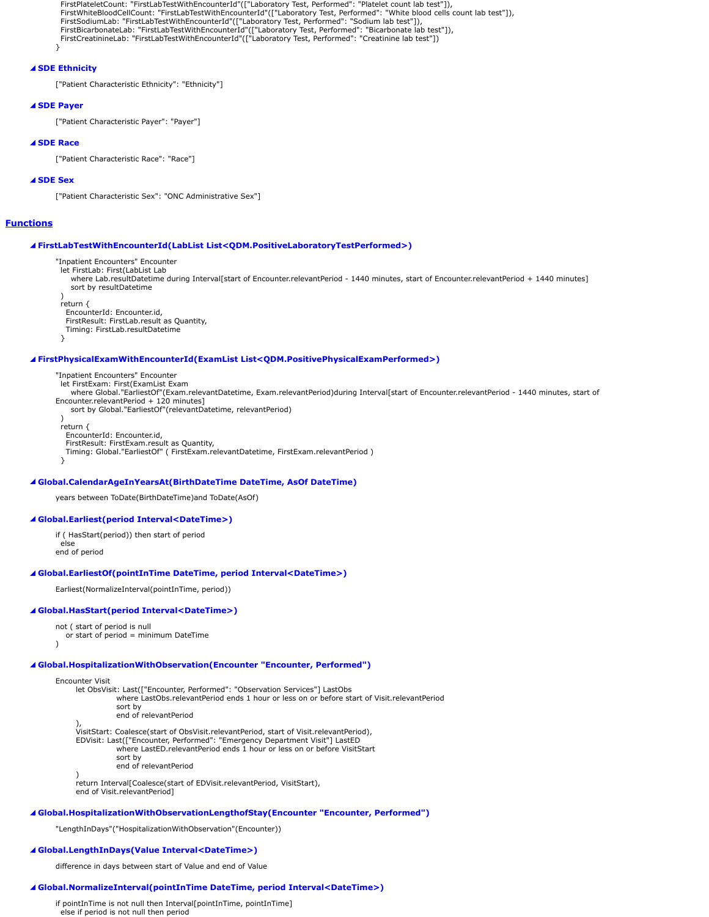```
 FirstPlateletCount: "FirstLabTestWithEncounterId"(["Laboratory Test, Performed": "Platelet count lab test"]),
  FirstWhiteBloodCellCount: "FirstLabTestWithEncounterId"(["Laboratory Test, Performed": "White blood cells count lab test"]),
  FirstSodiumLab: "FirstLabTestWithEncounterId"(["Laboratory Test, Performed": "Sodium lab test"]),
 FirstBicarbonateLab: "FirstLabTestWithEncounterId"(["Laboratory Test, Performed": "Bicarbonate lab test"]),
 FirstCreatinineLab: "FirstLabTestWithEncounterId"(["Laboratory Test, Performed": "Creatinine lab test"])
}
```
## **SDE Ethnicity**

["Patient Characteristic Ethnicity": "Ethnicity"]

## **SDE Payer**

["Patient Characteristic Payer": "Payer"]

#### **SDE Race**

["Patient Characteristic Race": "Race"]

## **SDE Sex**

["Patient Characteristic Sex": "ONC Administrative Sex"]

## <span id="page-2-0"></span>**[Functions](#page-1-2)**

#### **FirstLabTestWithEncounterId(LabList List<QDM.PositiveLaboratoryTestPerformed>)**

"Inpatient Encounters" Encounter

let FirstLab: First(LabList Lab

 where Lab.resultDatetime during Interval[start of Encounter.relevantPeriod - 1440 minutes, start of Encounter.relevantPeriod + 1440 minutes] sort by resultDatetime

 )  $r$ eturn  $\ell$ 

EncounterId: Encounter.id,

FirstResult: FirstLab.result as Quantity,

 Timing: FirstLab.resultDatetime }

## **FirstPhysicalExamWithEncounterId(ExamList List<QDM.PositivePhysicalExamPerformed>)**

"Inpatient Encounters" Encounter let FirstExam: First(ExamList Exam where Global."EarliestOf"(Exam.relevantDatetime, Exam.relevantPeriod)during Interval[start of Encounter.relevantPeriod - 1440 minutes, start of Encounter.relevantPeriod + 120 minutes] sort by Global."EarliestOf"(relevantDatetime, relevantPeriod) )

 return { EncounterId: Encounter.id, FirstResult: FirstExam.result as Quantity, Timing: Global."EarliestOf" ( FirstExam.relevantDatetime, FirstExam.relevantPeriod ) }

## **Global.CalendarAgeInYearsAt(BirthDateTime DateTime, AsOf DateTime)**

years between ToDate(BirthDateTime)and ToDate(AsOf)

#### **Global.Earliest(period Interval<DateTime>)**

if ( HasStart(period)) then start of period

 else end of period

## **Global.EarliestOf(pointInTime DateTime, period Interval<DateTime>)**

Earliest(NormalizeInterval(pointInTime, period))

## **Global.HasStart(period Interval<DateTime>)**

not ( start of period is null or start of period = minimum DateTime

# **Global.HospitalizationWithObservation(Encounter "Encounter, Performed")**

Encounter Visit

 $\lambda$ 

let ObsVisit: Last(["Encounter, Performed": "Observation Services"] LastObs where LastObs.relevantPeriod ends 1 hour or less on or before start of Visit.relevantPeriod sort by end of relevantPeriod

), VisitStart: Coalesce(start of ObsVisit.relevantPeriod, start of Visit.relevantPeriod), EDVisit: Last(["Encounter, Performed": "Emergency Department Visit"] LastED

where LastED.relevantPeriod ends 1 hour or less on or before VisitStart

sort by

end of relevantPeriod

) return Interval[Coalesce(start of EDVisit.relevantPeriod, VisitStart), end of Visit.relevantPeriod]

#### **Global.HospitalizationWithObservationLengthofStay(Encounter "Encounter, Performed")**

"LengthInDays"("HospitalizationWithObservation"(Encounter))

#### **Global.LengthInDays(Value Interval<DateTime>)**

difference in days between start of Value and end of Value

#### **Global.NormalizeInterval(pointInTime DateTime, period Interval<DateTime>)**

if pointInTime is not null then Interval[pointInTime, pointInTime] else if period is not null then period